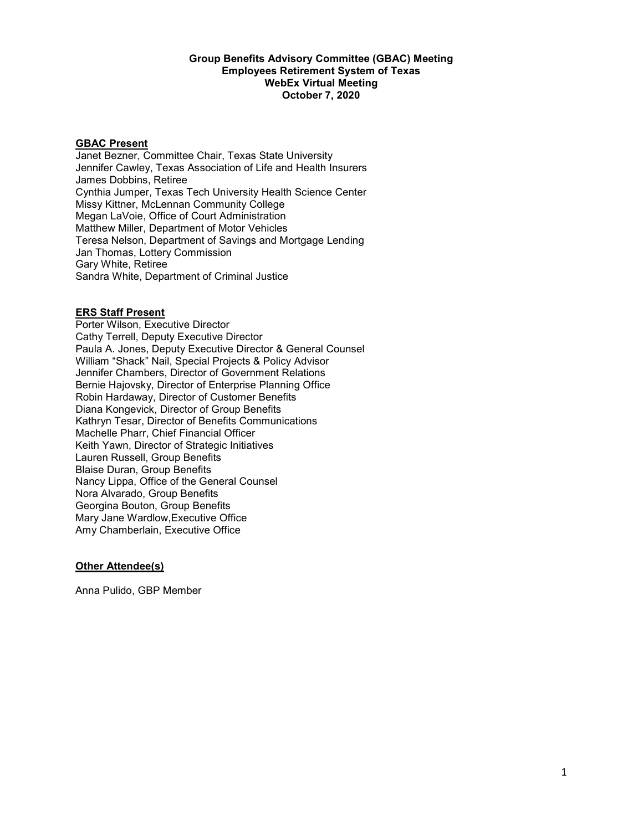#### Group Benefits Advisory Committee (GBAC) Meeting Employees Retirement System of Texas WebEx Virtual Meeting October 7, 2020

### GBAC Present

 Janet Bezner, Committee Chair, Texas State University Jennifer Cawley, Texas Association of Life and Health Insurers James Dobbins, Retiree Cynthia Jumper, Texas Tech University Health Science Center Missy Kittner, McLennan Community College Megan LaVoie, Office of Court Administration Matthew Miller, Department of Motor Vehicles Teresa Nelson, Department of Savings and Mortgage Lending Jan Thomas, Lottery Commission Gary White, Retiree Sandra White, Department of Criminal Justice

#### ERS Staff Present

 Porter Wilson, Executive Director Cathy Terrell, Deputy Executive Director Paula A. Jones, Deputy Executive Director & General Counsel William "Shack" Nail, Special Projects & Policy Advisor Jennifer Chambers, Director of Government Relations Bernie Hajovsky, Director of Enterprise Planning Office Robin Hardaway, Director of Customer Benefits Kathryn Tesar, Director of Benefits Communications Machelle Pharr, Chief Financial Officer Keith Yawn, Director of Strategic Initiatives Lauren Russell, Group Benefits Blaise Duran, Group Benefits Nancy Lippa, Office of the General Counsel Nora Alvarado, Group Benefits Georgina Bouton, Group Benefits Mary Jane Wardlow,Executive Office Amy Chamberlain, Executive Office Diana Kongevick, Director of Group Benefits

# **Other Attendee(s)**

Anna Pulido, GBP Member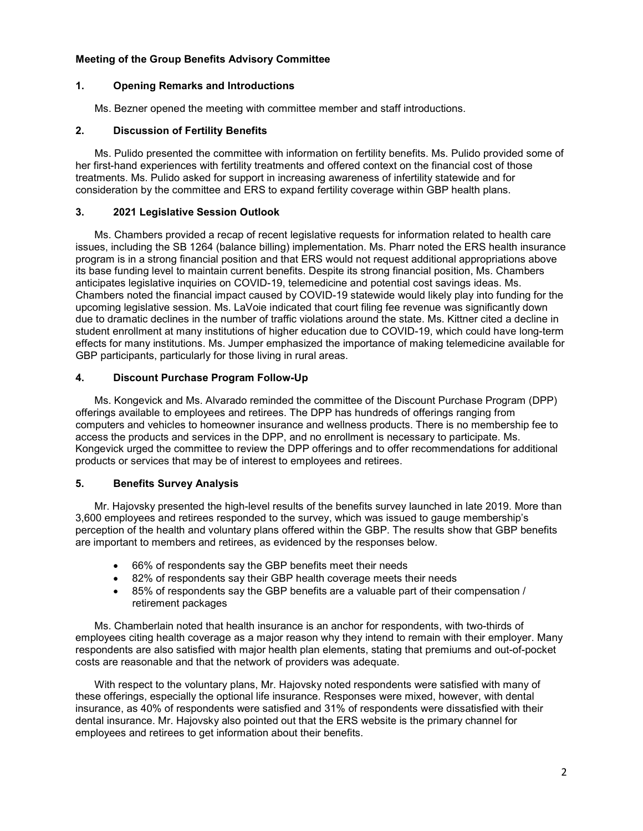# Meeting of the Group Benefits Advisory Committee

# 1. Opening Remarks and Introductions

Ms. Bezner opened the meeting with committee member and staff introductions.

### 2. Discussion of Fertility Benefits

 Ms. Pulido presented the committee with information on fertility benefits. Ms. Pulido provided some of her first-hand experiences with fertility treatments and offered context on the financial cost of those treatments. Ms. Pulido asked for support in increasing awareness of infertility statewide and for consideration by the committee and ERS to expand fertility coverage within GBP health plans.

### 3. 2021 Legislative Session Outlook

 Ms. Chambers provided a recap of recent legislative requests for information related to health care issues, including the SB 1264 (balance billing) implementation. Ms. Pharr noted the ERS health insurance program is in a strong financial position and that ERS would not request additional appropriations above its base funding level to maintain current benefits. Despite its strong financial position, Ms. Chambers anticipates legislative inquiries on COVID-19, telemedicine and potential cost savings ideas. Ms. Chambers noted the financial impact caused by COVID-19 statewide would likely play into funding for the upcoming legislative session. Ms. LaVoie indicated that court filing fee revenue was significantly down due to dramatic declines in the number of traffic violations around the state. Ms. Kittner cited a decline in student enrollment at many institutions of higher education due to COVID-19, which could have long-term effects for many institutions. Ms. Jumper emphasized the importance of making telemedicine available for GBP participants, particularly for those living in rural areas.

# 4. Discount Purchase Program Follow-Up

 Ms. Kongevick and Ms. Alvarado reminded the committee of the Discount Purchase Program (DPP) offerings available to employees and retirees. The DPP has hundreds of offerings ranging from computers and vehicles to homeowner insurance and wellness products. There is no membership fee to access the products and services in the DPP, and no enrollment is necessary to participate. Ms. Kongevick urged the committee to review the DPP offerings and to offer recommendations for additional products or services that may be of interest to employees and retirees.

# 5. Benefits Survey Analysis

 Mr. Hajovsky presented the high-level results of the benefits survey launched in late 2019. More than 3,600 employees and retirees responded to the survey, which was issued to gauge membership's perception of the health and voluntary plans offered within the GBP. The results show that GBP benefits are important to members and retirees, as evidenced by the responses below.

- 66% of respondents say the GBP benefits meet their needs
- 82% of respondents say their GBP health coverage meets their needs
- $\bullet$  retirement packages 85% of respondents say the GBP benefits are a valuable part of their compensation /

 Ms. Chamberlain noted that health insurance is an anchor for respondents, with two-thirds of employees citing health coverage as a major reason why they intend to remain with their employer. Many respondents are also satisfied with major health plan elements, stating that premiums and out-of-pocket costs are reasonable and that the network of providers was adequate.

 With respect to the voluntary plans, Mr. Hajovsky noted respondents were satisfied with many of these offerings, especially the optional life insurance. Responses were mixed, however, with dental insurance, as 40% of respondents were satisfied and 31% of respondents were dissatisfied with their dental insurance. Mr. Hajovsky also pointed out that the ERS website is the primary channel for employees and retirees to get information about their benefits.